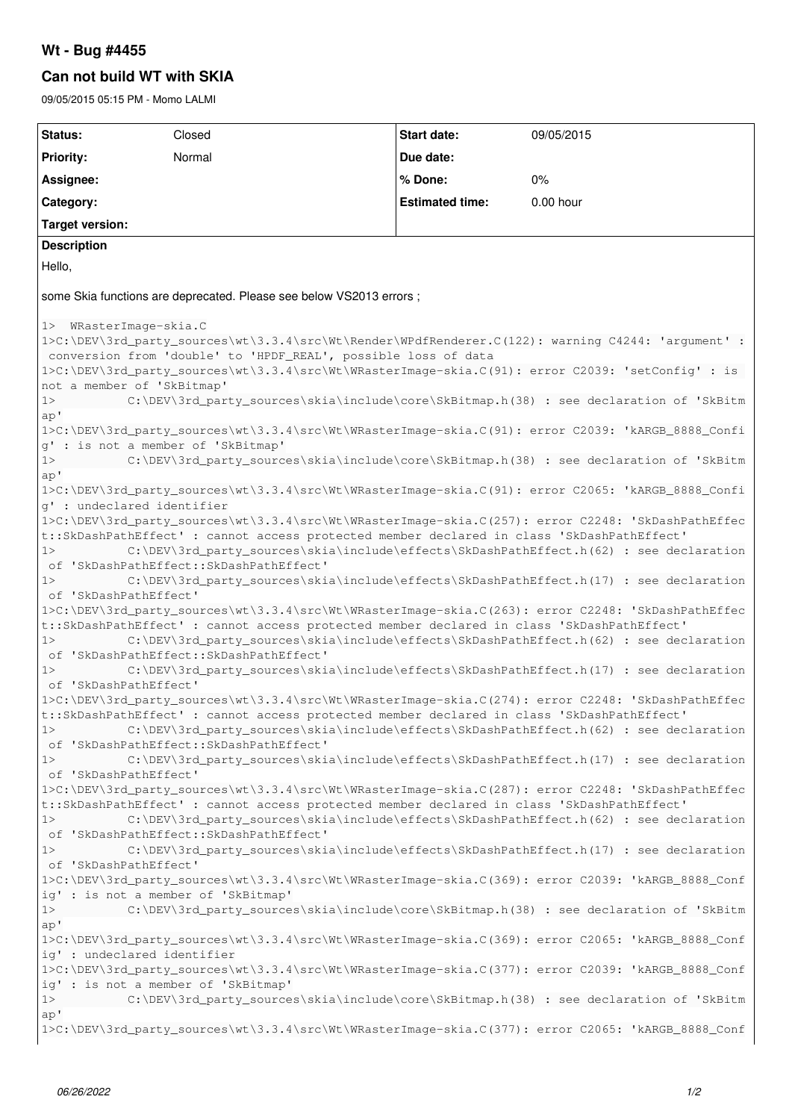# **Wt - Bug #4455**

## **Can not build WT with SKIA**

09/05/2015 05:15 PM - Momo LALMI

| Normal<br>Priority:<br>Due date:<br>Assignee:<br>% Done:<br>0%<br><b>Estimated time:</b><br>0.00 hour<br>Category:<br><b>Target version:</b><br><b>Description</b><br>Hello,<br>some Skia functions are deprecated. Please see below VS2013 errors;<br>1> WRasterImage-skia.C<br>1>C:\DEV\3rd_party_sources\wt\3.3.4\src\Wt\Render\WPdfRenderer.C(122): warning C4244: 'argument' :<br>conversion from 'double' to 'HPDF_REAL', possible loss of data<br>1>C:\DEV\3rd_party_sources\wt\3.3.4\src\Wt\WRasterImage-skia.C(91): error C2039: 'setConfig' : is<br>not a member of 'SkBitmap'<br>C:\DEV\3rd_party_sources\skia\include\core\SkBitmap.h(38) : see declaration of 'SkBitm<br>1><br>ap'<br>1>C:\DEV\3rd_party_sources\wt\3.3.4\src\Wt\WRasterImage-skia.C(91): error C2039: 'kARGB_8888_Confi<br>g' : is not a member of 'SkBitmap'<br>C:\DEV\3rd_party_sources\skia\include\core\SkBitmap.h(38) : see declaration of 'SkBitm<br>1><br>ap'<br>1>C:\DEV\3rd_party_sources\wt\3.3.4\src\Wt\WRasterImage-skia.C(91): error C2065: 'kARGB_8888_Confi<br>q' : undeclared identifier<br>1>C:\DEV\3rd_party_sources\wt\3.3.4\src\Wt\WRasterImage-skia.C(257): error C2248: 'SkDashPathEffec<br>t::SkDashPathEffect' : cannot access protected member declared in class 'SkDashPathEffect'<br>C:\DEV\3rd_party_sources\skia\include\effects\SkDashPathEffect.h(62) : see declaration<br>1><br>of 'SkDashPathEffect::SkDashPathEffect'<br>C:\DEV\3rd_party_sources\skia\include\effects\SkDashPathEffect.h(17) : see declaration<br>1><br>of 'SkDashPathEffect'<br>1>C:\DEV\3rd_party_sources\wt\3.3.4\src\Wt\WRasterImage-skia.C(263): error C2248: 'SkDashPathEffec<br>t:: SkDashPathEffect' : cannot access protected member declared in class 'SkDashPathEffect'<br>C:\DEV\3rd_party_sources\skia\include\effects\SkDashPathEffect.h(62) : see declaration<br>1><br>of 'SkDashPathEffect::SkDashPathEffect'<br>C:\DEV\3rd_party_sources\skia\include\effects\SkDashPathEffect.h(17) : see declaration<br>1><br>of 'SkDashPathEffect'<br>1>C:\DEV\3rd_party_sources\wt\3.3.4\src\Wt\WRasterImage-skia.C(274): error C2248: 'SkDashPathEffec<br>t::SkDashPathEffect': cannot access protected member declared in class 'SkDashPathEffect'<br>C:\DEV\3rd_party_sources\skia\include\effects\SkDashPathEffect.h(62) : see declaration<br>1><br>of 'SkDashPathEffect::SkDashPathEffect'<br>C:\DEV\3rd_party_sources\skia\include\effects\SkDashPathEffect.h(17) : see declaration<br>1><br>of 'SkDashPathEffect'<br>1>C:\DEV\3rd_party_sources\wt\3.3.4\src\Wt\WRasterImage-skia.C(287): error C2248: 'SkDashPathEffec<br>t:: SkDashPathEffect' : cannot access protected member declared in class 'SkDashPathEffect'<br>C:\DEV\3rd_party_sources\skia\include\effects\SkDashPathEffect.h(62) : see declaration<br>1><br>of 'SkDashPathEffect::SkDashPathEffect'<br>C:\DEV\3rd_party_sources\skia\include\effects\SkDashPathEffect.h(17) : see declaration<br>1><br>of 'SkDashPathEffect'<br>1>C:\DEV\3rd_party_sources\wt\3.3.4\src\Wt\WRasterImage-skia.C(369): error C2039: 'kARGB_8888_Conf<br>ig' : is not a member of 'SkBitmap'<br>C:\DEV\3rd_party_sources\skia\include\core\SkBitmap.h(38) : see declaration of 'SkBitm<br>1><br>ap'<br>1>C:\DEV\3rd_party_sources\wt\3.3.4\src\Wt\WRasterImage-skia.C(369): error C2065: 'kARGB_8888_Conf<br>ig' : undeclared identifier<br>1>C:\DEV\3rd_party_sources\wt\3.3.4\src\Wt\WRasterImage-skia.C(377): error C2039: 'kARGB_8888_Conf<br>ig' : is not a member of 'SkBitmap' | Status: | Closed | <b>Start date:</b> | 09/05/2015 |  |
|-------------------------------------------------------------------------------------------------------------------------------------------------------------------------------------------------------------------------------------------------------------------------------------------------------------------------------------------------------------------------------------------------------------------------------------------------------------------------------------------------------------------------------------------------------------------------------------------------------------------------------------------------------------------------------------------------------------------------------------------------------------------------------------------------------------------------------------------------------------------------------------------------------------------------------------------------------------------------------------------------------------------------------------------------------------------------------------------------------------------------------------------------------------------------------------------------------------------------------------------------------------------------------------------------------------------------------------------------------------------------------------------------------------------------------------------------------------------------------------------------------------------------------------------------------------------------------------------------------------------------------------------------------------------------------------------------------------------------------------------------------------------------------------------------------------------------------------------------------------------------------------------------------------------------------------------------------------------------------------------------------------------------------------------------------------------------------------------------------------------------------------------------------------------------------------------------------------------------------------------------------------------------------------------------------------------------------------------------------------------------------------------------------------------------------------------------------------------------------------------------------------------------------------------------------------------------------------------------------------------------------------------------------------------------------------------------------------------------------------------------------------------------------------------------------------------------------------------------------------------------------------------------------------------------------------------------------------------------------------------------------------------------------------------------------------------------------------------------------------------------------------------------------------------------------------------------------------------------------------------------------------------------------------------------------------------------------------------------------------------------------------------------------------------------------------------------------------------------------------------------------------------------------|---------|--------|--------------------|------------|--|
|                                                                                                                                                                                                                                                                                                                                                                                                                                                                                                                                                                                                                                                                                                                                                                                                                                                                                                                                                                                                                                                                                                                                                                                                                                                                                                                                                                                                                                                                                                                                                                                                                                                                                                                                                                                                                                                                                                                                                                                                                                                                                                                                                                                                                                                                                                                                                                                                                                                                                                                                                                                                                                                                                                                                                                                                                                                                                                                                                                                                                                                                                                                                                                                                                                                                                                                                                                                                                                                                                                                               |         |        |                    |            |  |
|                                                                                                                                                                                                                                                                                                                                                                                                                                                                                                                                                                                                                                                                                                                                                                                                                                                                                                                                                                                                                                                                                                                                                                                                                                                                                                                                                                                                                                                                                                                                                                                                                                                                                                                                                                                                                                                                                                                                                                                                                                                                                                                                                                                                                                                                                                                                                                                                                                                                                                                                                                                                                                                                                                                                                                                                                                                                                                                                                                                                                                                                                                                                                                                                                                                                                                                                                                                                                                                                                                                               |         |        |                    |            |  |
|                                                                                                                                                                                                                                                                                                                                                                                                                                                                                                                                                                                                                                                                                                                                                                                                                                                                                                                                                                                                                                                                                                                                                                                                                                                                                                                                                                                                                                                                                                                                                                                                                                                                                                                                                                                                                                                                                                                                                                                                                                                                                                                                                                                                                                                                                                                                                                                                                                                                                                                                                                                                                                                                                                                                                                                                                                                                                                                                                                                                                                                                                                                                                                                                                                                                                                                                                                                                                                                                                                                               |         |        |                    |            |  |
|                                                                                                                                                                                                                                                                                                                                                                                                                                                                                                                                                                                                                                                                                                                                                                                                                                                                                                                                                                                                                                                                                                                                                                                                                                                                                                                                                                                                                                                                                                                                                                                                                                                                                                                                                                                                                                                                                                                                                                                                                                                                                                                                                                                                                                                                                                                                                                                                                                                                                                                                                                                                                                                                                                                                                                                                                                                                                                                                                                                                                                                                                                                                                                                                                                                                                                                                                                                                                                                                                                                               |         |        |                    |            |  |
|                                                                                                                                                                                                                                                                                                                                                                                                                                                                                                                                                                                                                                                                                                                                                                                                                                                                                                                                                                                                                                                                                                                                                                                                                                                                                                                                                                                                                                                                                                                                                                                                                                                                                                                                                                                                                                                                                                                                                                                                                                                                                                                                                                                                                                                                                                                                                                                                                                                                                                                                                                                                                                                                                                                                                                                                                                                                                                                                                                                                                                                                                                                                                                                                                                                                                                                                                                                                                                                                                                                               |         |        |                    |            |  |
|                                                                                                                                                                                                                                                                                                                                                                                                                                                                                                                                                                                                                                                                                                                                                                                                                                                                                                                                                                                                                                                                                                                                                                                                                                                                                                                                                                                                                                                                                                                                                                                                                                                                                                                                                                                                                                                                                                                                                                                                                                                                                                                                                                                                                                                                                                                                                                                                                                                                                                                                                                                                                                                                                                                                                                                                                                                                                                                                                                                                                                                                                                                                                                                                                                                                                                                                                                                                                                                                                                                               |         |        |                    |            |  |
|                                                                                                                                                                                                                                                                                                                                                                                                                                                                                                                                                                                                                                                                                                                                                                                                                                                                                                                                                                                                                                                                                                                                                                                                                                                                                                                                                                                                                                                                                                                                                                                                                                                                                                                                                                                                                                                                                                                                                                                                                                                                                                                                                                                                                                                                                                                                                                                                                                                                                                                                                                                                                                                                                                                                                                                                                                                                                                                                                                                                                                                                                                                                                                                                                                                                                                                                                                                                                                                                                                                               |         |        |                    |            |  |
|                                                                                                                                                                                                                                                                                                                                                                                                                                                                                                                                                                                                                                                                                                                                                                                                                                                                                                                                                                                                                                                                                                                                                                                                                                                                                                                                                                                                                                                                                                                                                                                                                                                                                                                                                                                                                                                                                                                                                                                                                                                                                                                                                                                                                                                                                                                                                                                                                                                                                                                                                                                                                                                                                                                                                                                                                                                                                                                                                                                                                                                                                                                                                                                                                                                                                                                                                                                                                                                                                                                               |         |        |                    |            |  |
|                                                                                                                                                                                                                                                                                                                                                                                                                                                                                                                                                                                                                                                                                                                                                                                                                                                                                                                                                                                                                                                                                                                                                                                                                                                                                                                                                                                                                                                                                                                                                                                                                                                                                                                                                                                                                                                                                                                                                                                                                                                                                                                                                                                                                                                                                                                                                                                                                                                                                                                                                                                                                                                                                                                                                                                                                                                                                                                                                                                                                                                                                                                                                                                                                                                                                                                                                                                                                                                                                                                               |         |        |                    |            |  |
|                                                                                                                                                                                                                                                                                                                                                                                                                                                                                                                                                                                                                                                                                                                                                                                                                                                                                                                                                                                                                                                                                                                                                                                                                                                                                                                                                                                                                                                                                                                                                                                                                                                                                                                                                                                                                                                                                                                                                                                                                                                                                                                                                                                                                                                                                                                                                                                                                                                                                                                                                                                                                                                                                                                                                                                                                                                                                                                                                                                                                                                                                                                                                                                                                                                                                                                                                                                                                                                                                                                               |         |        |                    |            |  |
|                                                                                                                                                                                                                                                                                                                                                                                                                                                                                                                                                                                                                                                                                                                                                                                                                                                                                                                                                                                                                                                                                                                                                                                                                                                                                                                                                                                                                                                                                                                                                                                                                                                                                                                                                                                                                                                                                                                                                                                                                                                                                                                                                                                                                                                                                                                                                                                                                                                                                                                                                                                                                                                                                                                                                                                                                                                                                                                                                                                                                                                                                                                                                                                                                                                                                                                                                                                                                                                                                                                               |         |        |                    |            |  |
|                                                                                                                                                                                                                                                                                                                                                                                                                                                                                                                                                                                                                                                                                                                                                                                                                                                                                                                                                                                                                                                                                                                                                                                                                                                                                                                                                                                                                                                                                                                                                                                                                                                                                                                                                                                                                                                                                                                                                                                                                                                                                                                                                                                                                                                                                                                                                                                                                                                                                                                                                                                                                                                                                                                                                                                                                                                                                                                                                                                                                                                                                                                                                                                                                                                                                                                                                                                                                                                                                                                               |         |        |                    |            |  |
|                                                                                                                                                                                                                                                                                                                                                                                                                                                                                                                                                                                                                                                                                                                                                                                                                                                                                                                                                                                                                                                                                                                                                                                                                                                                                                                                                                                                                                                                                                                                                                                                                                                                                                                                                                                                                                                                                                                                                                                                                                                                                                                                                                                                                                                                                                                                                                                                                                                                                                                                                                                                                                                                                                                                                                                                                                                                                                                                                                                                                                                                                                                                                                                                                                                                                                                                                                                                                                                                                                                               |         |        |                    |            |  |
|                                                                                                                                                                                                                                                                                                                                                                                                                                                                                                                                                                                                                                                                                                                                                                                                                                                                                                                                                                                                                                                                                                                                                                                                                                                                                                                                                                                                                                                                                                                                                                                                                                                                                                                                                                                                                                                                                                                                                                                                                                                                                                                                                                                                                                                                                                                                                                                                                                                                                                                                                                                                                                                                                                                                                                                                                                                                                                                                                                                                                                                                                                                                                                                                                                                                                                                                                                                                                                                                                                                               |         |        |                    |            |  |
|                                                                                                                                                                                                                                                                                                                                                                                                                                                                                                                                                                                                                                                                                                                                                                                                                                                                                                                                                                                                                                                                                                                                                                                                                                                                                                                                                                                                                                                                                                                                                                                                                                                                                                                                                                                                                                                                                                                                                                                                                                                                                                                                                                                                                                                                                                                                                                                                                                                                                                                                                                                                                                                                                                                                                                                                                                                                                                                                                                                                                                                                                                                                                                                                                                                                                                                                                                                                                                                                                                                               |         |        |                    |            |  |
|                                                                                                                                                                                                                                                                                                                                                                                                                                                                                                                                                                                                                                                                                                                                                                                                                                                                                                                                                                                                                                                                                                                                                                                                                                                                                                                                                                                                                                                                                                                                                                                                                                                                                                                                                                                                                                                                                                                                                                                                                                                                                                                                                                                                                                                                                                                                                                                                                                                                                                                                                                                                                                                                                                                                                                                                                                                                                                                                                                                                                                                                                                                                                                                                                                                                                                                                                                                                                                                                                                                               |         |        |                    |            |  |
|                                                                                                                                                                                                                                                                                                                                                                                                                                                                                                                                                                                                                                                                                                                                                                                                                                                                                                                                                                                                                                                                                                                                                                                                                                                                                                                                                                                                                                                                                                                                                                                                                                                                                                                                                                                                                                                                                                                                                                                                                                                                                                                                                                                                                                                                                                                                                                                                                                                                                                                                                                                                                                                                                                                                                                                                                                                                                                                                                                                                                                                                                                                                                                                                                                                                                                                                                                                                                                                                                                                               |         |        |                    |            |  |
|                                                                                                                                                                                                                                                                                                                                                                                                                                                                                                                                                                                                                                                                                                                                                                                                                                                                                                                                                                                                                                                                                                                                                                                                                                                                                                                                                                                                                                                                                                                                                                                                                                                                                                                                                                                                                                                                                                                                                                                                                                                                                                                                                                                                                                                                                                                                                                                                                                                                                                                                                                                                                                                                                                                                                                                                                                                                                                                                                                                                                                                                                                                                                                                                                                                                                                                                                                                                                                                                                                                               |         |        |                    |            |  |
|                                                                                                                                                                                                                                                                                                                                                                                                                                                                                                                                                                                                                                                                                                                                                                                                                                                                                                                                                                                                                                                                                                                                                                                                                                                                                                                                                                                                                                                                                                                                                                                                                                                                                                                                                                                                                                                                                                                                                                                                                                                                                                                                                                                                                                                                                                                                                                                                                                                                                                                                                                                                                                                                                                                                                                                                                                                                                                                                                                                                                                                                                                                                                                                                                                                                                                                                                                                                                                                                                                                               |         |        |                    |            |  |
|                                                                                                                                                                                                                                                                                                                                                                                                                                                                                                                                                                                                                                                                                                                                                                                                                                                                                                                                                                                                                                                                                                                                                                                                                                                                                                                                                                                                                                                                                                                                                                                                                                                                                                                                                                                                                                                                                                                                                                                                                                                                                                                                                                                                                                                                                                                                                                                                                                                                                                                                                                                                                                                                                                                                                                                                                                                                                                                                                                                                                                                                                                                                                                                                                                                                                                                                                                                                                                                                                                                               |         |        |                    |            |  |
|                                                                                                                                                                                                                                                                                                                                                                                                                                                                                                                                                                                                                                                                                                                                                                                                                                                                                                                                                                                                                                                                                                                                                                                                                                                                                                                                                                                                                                                                                                                                                                                                                                                                                                                                                                                                                                                                                                                                                                                                                                                                                                                                                                                                                                                                                                                                                                                                                                                                                                                                                                                                                                                                                                                                                                                                                                                                                                                                                                                                                                                                                                                                                                                                                                                                                                                                                                                                                                                                                                                               |         |        |                    |            |  |
|                                                                                                                                                                                                                                                                                                                                                                                                                                                                                                                                                                                                                                                                                                                                                                                                                                                                                                                                                                                                                                                                                                                                                                                                                                                                                                                                                                                                                                                                                                                                                                                                                                                                                                                                                                                                                                                                                                                                                                                                                                                                                                                                                                                                                                                                                                                                                                                                                                                                                                                                                                                                                                                                                                                                                                                                                                                                                                                                                                                                                                                                                                                                                                                                                                                                                                                                                                                                                                                                                                                               |         |        |                    |            |  |
|                                                                                                                                                                                                                                                                                                                                                                                                                                                                                                                                                                                                                                                                                                                                                                                                                                                                                                                                                                                                                                                                                                                                                                                                                                                                                                                                                                                                                                                                                                                                                                                                                                                                                                                                                                                                                                                                                                                                                                                                                                                                                                                                                                                                                                                                                                                                                                                                                                                                                                                                                                                                                                                                                                                                                                                                                                                                                                                                                                                                                                                                                                                                                                                                                                                                                                                                                                                                                                                                                                                               |         |        |                    |            |  |
|                                                                                                                                                                                                                                                                                                                                                                                                                                                                                                                                                                                                                                                                                                                                                                                                                                                                                                                                                                                                                                                                                                                                                                                                                                                                                                                                                                                                                                                                                                                                                                                                                                                                                                                                                                                                                                                                                                                                                                                                                                                                                                                                                                                                                                                                                                                                                                                                                                                                                                                                                                                                                                                                                                                                                                                                                                                                                                                                                                                                                                                                                                                                                                                                                                                                                                                                                                                                                                                                                                                               |         |        |                    |            |  |
|                                                                                                                                                                                                                                                                                                                                                                                                                                                                                                                                                                                                                                                                                                                                                                                                                                                                                                                                                                                                                                                                                                                                                                                                                                                                                                                                                                                                                                                                                                                                                                                                                                                                                                                                                                                                                                                                                                                                                                                                                                                                                                                                                                                                                                                                                                                                                                                                                                                                                                                                                                                                                                                                                                                                                                                                                                                                                                                                                                                                                                                                                                                                                                                                                                                                                                                                                                                                                                                                                                                               |         |        |                    |            |  |
|                                                                                                                                                                                                                                                                                                                                                                                                                                                                                                                                                                                                                                                                                                                                                                                                                                                                                                                                                                                                                                                                                                                                                                                                                                                                                                                                                                                                                                                                                                                                                                                                                                                                                                                                                                                                                                                                                                                                                                                                                                                                                                                                                                                                                                                                                                                                                                                                                                                                                                                                                                                                                                                                                                                                                                                                                                                                                                                                                                                                                                                                                                                                                                                                                                                                                                                                                                                                                                                                                                                               |         |        |                    |            |  |
|                                                                                                                                                                                                                                                                                                                                                                                                                                                                                                                                                                                                                                                                                                                                                                                                                                                                                                                                                                                                                                                                                                                                                                                                                                                                                                                                                                                                                                                                                                                                                                                                                                                                                                                                                                                                                                                                                                                                                                                                                                                                                                                                                                                                                                                                                                                                                                                                                                                                                                                                                                                                                                                                                                                                                                                                                                                                                                                                                                                                                                                                                                                                                                                                                                                                                                                                                                                                                                                                                                                               |         |        |                    |            |  |
|                                                                                                                                                                                                                                                                                                                                                                                                                                                                                                                                                                                                                                                                                                                                                                                                                                                                                                                                                                                                                                                                                                                                                                                                                                                                                                                                                                                                                                                                                                                                                                                                                                                                                                                                                                                                                                                                                                                                                                                                                                                                                                                                                                                                                                                                                                                                                                                                                                                                                                                                                                                                                                                                                                                                                                                                                                                                                                                                                                                                                                                                                                                                                                                                                                                                                                                                                                                                                                                                                                                               |         |        |                    |            |  |
|                                                                                                                                                                                                                                                                                                                                                                                                                                                                                                                                                                                                                                                                                                                                                                                                                                                                                                                                                                                                                                                                                                                                                                                                                                                                                                                                                                                                                                                                                                                                                                                                                                                                                                                                                                                                                                                                                                                                                                                                                                                                                                                                                                                                                                                                                                                                                                                                                                                                                                                                                                                                                                                                                                                                                                                                                                                                                                                                                                                                                                                                                                                                                                                                                                                                                                                                                                                                                                                                                                                               |         |        |                    |            |  |
|                                                                                                                                                                                                                                                                                                                                                                                                                                                                                                                                                                                                                                                                                                                                                                                                                                                                                                                                                                                                                                                                                                                                                                                                                                                                                                                                                                                                                                                                                                                                                                                                                                                                                                                                                                                                                                                                                                                                                                                                                                                                                                                                                                                                                                                                                                                                                                                                                                                                                                                                                                                                                                                                                                                                                                                                                                                                                                                                                                                                                                                                                                                                                                                                                                                                                                                                                                                                                                                                                                                               |         |        |                    |            |  |
|                                                                                                                                                                                                                                                                                                                                                                                                                                                                                                                                                                                                                                                                                                                                                                                                                                                                                                                                                                                                                                                                                                                                                                                                                                                                                                                                                                                                                                                                                                                                                                                                                                                                                                                                                                                                                                                                                                                                                                                                                                                                                                                                                                                                                                                                                                                                                                                                                                                                                                                                                                                                                                                                                                                                                                                                                                                                                                                                                                                                                                                                                                                                                                                                                                                                                                                                                                                                                                                                                                                               |         |        |                    |            |  |
|                                                                                                                                                                                                                                                                                                                                                                                                                                                                                                                                                                                                                                                                                                                                                                                                                                                                                                                                                                                                                                                                                                                                                                                                                                                                                                                                                                                                                                                                                                                                                                                                                                                                                                                                                                                                                                                                                                                                                                                                                                                                                                                                                                                                                                                                                                                                                                                                                                                                                                                                                                                                                                                                                                                                                                                                                                                                                                                                                                                                                                                                                                                                                                                                                                                                                                                                                                                                                                                                                                                               |         |        |                    |            |  |
|                                                                                                                                                                                                                                                                                                                                                                                                                                                                                                                                                                                                                                                                                                                                                                                                                                                                                                                                                                                                                                                                                                                                                                                                                                                                                                                                                                                                                                                                                                                                                                                                                                                                                                                                                                                                                                                                                                                                                                                                                                                                                                                                                                                                                                                                                                                                                                                                                                                                                                                                                                                                                                                                                                                                                                                                                                                                                                                                                                                                                                                                                                                                                                                                                                                                                                                                                                                                                                                                                                                               |         |        |                    |            |  |
|                                                                                                                                                                                                                                                                                                                                                                                                                                                                                                                                                                                                                                                                                                                                                                                                                                                                                                                                                                                                                                                                                                                                                                                                                                                                                                                                                                                                                                                                                                                                                                                                                                                                                                                                                                                                                                                                                                                                                                                                                                                                                                                                                                                                                                                                                                                                                                                                                                                                                                                                                                                                                                                                                                                                                                                                                                                                                                                                                                                                                                                                                                                                                                                                                                                                                                                                                                                                                                                                                                                               |         |        |                    |            |  |
|                                                                                                                                                                                                                                                                                                                                                                                                                                                                                                                                                                                                                                                                                                                                                                                                                                                                                                                                                                                                                                                                                                                                                                                                                                                                                                                                                                                                                                                                                                                                                                                                                                                                                                                                                                                                                                                                                                                                                                                                                                                                                                                                                                                                                                                                                                                                                                                                                                                                                                                                                                                                                                                                                                                                                                                                                                                                                                                                                                                                                                                                                                                                                                                                                                                                                                                                                                                                                                                                                                                               |         |        |                    |            |  |
|                                                                                                                                                                                                                                                                                                                                                                                                                                                                                                                                                                                                                                                                                                                                                                                                                                                                                                                                                                                                                                                                                                                                                                                                                                                                                                                                                                                                                                                                                                                                                                                                                                                                                                                                                                                                                                                                                                                                                                                                                                                                                                                                                                                                                                                                                                                                                                                                                                                                                                                                                                                                                                                                                                                                                                                                                                                                                                                                                                                                                                                                                                                                                                                                                                                                                                                                                                                                                                                                                                                               |         |        |                    |            |  |
|                                                                                                                                                                                                                                                                                                                                                                                                                                                                                                                                                                                                                                                                                                                                                                                                                                                                                                                                                                                                                                                                                                                                                                                                                                                                                                                                                                                                                                                                                                                                                                                                                                                                                                                                                                                                                                                                                                                                                                                                                                                                                                                                                                                                                                                                                                                                                                                                                                                                                                                                                                                                                                                                                                                                                                                                                                                                                                                                                                                                                                                                                                                                                                                                                                                                                                                                                                                                                                                                                                                               |         |        |                    |            |  |
|                                                                                                                                                                                                                                                                                                                                                                                                                                                                                                                                                                                                                                                                                                                                                                                                                                                                                                                                                                                                                                                                                                                                                                                                                                                                                                                                                                                                                                                                                                                                                                                                                                                                                                                                                                                                                                                                                                                                                                                                                                                                                                                                                                                                                                                                                                                                                                                                                                                                                                                                                                                                                                                                                                                                                                                                                                                                                                                                                                                                                                                                                                                                                                                                                                                                                                                                                                                                                                                                                                                               |         |        |                    |            |  |
|                                                                                                                                                                                                                                                                                                                                                                                                                                                                                                                                                                                                                                                                                                                                                                                                                                                                                                                                                                                                                                                                                                                                                                                                                                                                                                                                                                                                                                                                                                                                                                                                                                                                                                                                                                                                                                                                                                                                                                                                                                                                                                                                                                                                                                                                                                                                                                                                                                                                                                                                                                                                                                                                                                                                                                                                                                                                                                                                                                                                                                                                                                                                                                                                                                                                                                                                                                                                                                                                                                                               |         |        |                    |            |  |
|                                                                                                                                                                                                                                                                                                                                                                                                                                                                                                                                                                                                                                                                                                                                                                                                                                                                                                                                                                                                                                                                                                                                                                                                                                                                                                                                                                                                                                                                                                                                                                                                                                                                                                                                                                                                                                                                                                                                                                                                                                                                                                                                                                                                                                                                                                                                                                                                                                                                                                                                                                                                                                                                                                                                                                                                                                                                                                                                                                                                                                                                                                                                                                                                                                                                                                                                                                                                                                                                                                                               |         |        |                    |            |  |
|                                                                                                                                                                                                                                                                                                                                                                                                                                                                                                                                                                                                                                                                                                                                                                                                                                                                                                                                                                                                                                                                                                                                                                                                                                                                                                                                                                                                                                                                                                                                                                                                                                                                                                                                                                                                                                                                                                                                                                                                                                                                                                                                                                                                                                                                                                                                                                                                                                                                                                                                                                                                                                                                                                                                                                                                                                                                                                                                                                                                                                                                                                                                                                                                                                                                                                                                                                                                                                                                                                                               |         |        |                    |            |  |
|                                                                                                                                                                                                                                                                                                                                                                                                                                                                                                                                                                                                                                                                                                                                                                                                                                                                                                                                                                                                                                                                                                                                                                                                                                                                                                                                                                                                                                                                                                                                                                                                                                                                                                                                                                                                                                                                                                                                                                                                                                                                                                                                                                                                                                                                                                                                                                                                                                                                                                                                                                                                                                                                                                                                                                                                                                                                                                                                                                                                                                                                                                                                                                                                                                                                                                                                                                                                                                                                                                                               |         |        |                    |            |  |
|                                                                                                                                                                                                                                                                                                                                                                                                                                                                                                                                                                                                                                                                                                                                                                                                                                                                                                                                                                                                                                                                                                                                                                                                                                                                                                                                                                                                                                                                                                                                                                                                                                                                                                                                                                                                                                                                                                                                                                                                                                                                                                                                                                                                                                                                                                                                                                                                                                                                                                                                                                                                                                                                                                                                                                                                                                                                                                                                                                                                                                                                                                                                                                                                                                                                                                                                                                                                                                                                                                                               |         |        |                    |            |  |
| C:\DEV\3rd_party_sources\skia\include\core\SkBitmap.h(38) : see declaration of 'SkBitm<br>1>                                                                                                                                                                                                                                                                                                                                                                                                                                                                                                                                                                                                                                                                                                                                                                                                                                                                                                                                                                                                                                                                                                                                                                                                                                                                                                                                                                                                                                                                                                                                                                                                                                                                                                                                                                                                                                                                                                                                                                                                                                                                                                                                                                                                                                                                                                                                                                                                                                                                                                                                                                                                                                                                                                                                                                                                                                                                                                                                                                                                                                                                                                                                                                                                                                                                                                                                                                                                                                  |         |        |                    |            |  |
| ap'                                                                                                                                                                                                                                                                                                                                                                                                                                                                                                                                                                                                                                                                                                                                                                                                                                                                                                                                                                                                                                                                                                                                                                                                                                                                                                                                                                                                                                                                                                                                                                                                                                                                                                                                                                                                                                                                                                                                                                                                                                                                                                                                                                                                                                                                                                                                                                                                                                                                                                                                                                                                                                                                                                                                                                                                                                                                                                                                                                                                                                                                                                                                                                                                                                                                                                                                                                                                                                                                                                                           |         |        |                    |            |  |
| 1>C:\DEV\3rd_party_sources\wt\3.3.4\src\Wt\WRasterImage-skia.C(377): error C2065: 'kARGB_8888_Conf                                                                                                                                                                                                                                                                                                                                                                                                                                                                                                                                                                                                                                                                                                                                                                                                                                                                                                                                                                                                                                                                                                                                                                                                                                                                                                                                                                                                                                                                                                                                                                                                                                                                                                                                                                                                                                                                                                                                                                                                                                                                                                                                                                                                                                                                                                                                                                                                                                                                                                                                                                                                                                                                                                                                                                                                                                                                                                                                                                                                                                                                                                                                                                                                                                                                                                                                                                                                                            |         |        |                    |            |  |